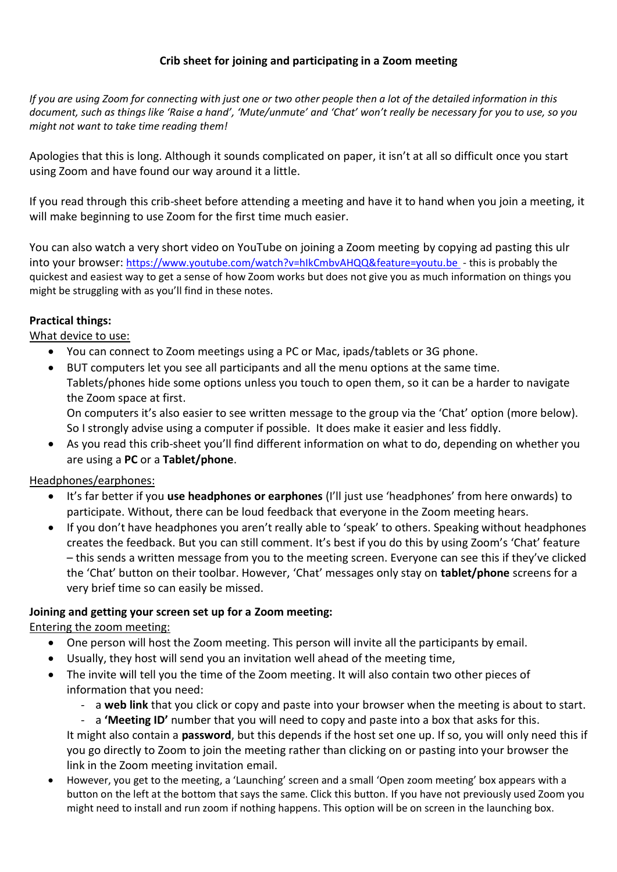### **Crib sheet for joining and participating in a Zoom meeting**

*If you are using Zoom for connecting with just one or two other people then a lot of the detailed information in this document, such as things like 'Raise a hand', 'Mute/unmute' and 'Chat' won't really be necessary for you to use, so you might not want to take time reading them!*

Apologies that this is long. Although it sounds complicated on paper, it isn't at all so difficult once you start using Zoom and have found our way around it a little.

If you read through this crib-sheet before attending a meeting and have it to hand when you join a meeting, it will make beginning to use Zoom for the first time much easier.

You can also watch a very short video on YouTube on joining a Zoom meeting by copying ad pasting this ulr into your browser: <https://www.youtube.com/watch?v=hIkCmbvAHQQ&feature=youtu.be> - this is probably the quickest and easiest way to get a sense of how Zoom works but does not give you as much information on things you might be struggling with as you'll find in these notes.

### **Practical things:**

### What device to use:

- You can connect to Zoom meetings using a PC or Mac, ipads/tablets or 3G phone.
- BUT computers let you see all participants and all the menu options at the same time. Tablets/phones hide some options unless you touch to open them, so it can be a harder to navigate the Zoom space at first. On computers it's also easier to see written message to the group via the 'Chat' option (more below).

So I strongly advise using a computer if possible. It does make it easier and less fiddly.

• As you read this crib-sheet you'll find different information on what to do, depending on whether you are using a **PC** or a **Tablet/phone**.

### Headphones/earphones:

- It's far better if you **use headphones or earphones** (I'll just use 'headphones' from here onwards) to participate. Without, there can be loud feedback that everyone in the Zoom meeting hears.
- If you don't have headphones you aren't really able to 'speak' to others. Speaking without headphones creates the feedback. But you can still comment. It's best if you do this by using Zoom's 'Chat' feature – this sends a written message from you to the meeting screen. Everyone can see this if they've clicked the 'Chat' button on their toolbar. However, 'Chat' messages only stay on **tablet/phone** screens for a very brief time so can easily be missed.

### **Joining and getting your screen set up for a Zoom meeting:**

# Entering the zoom meeting:

- One person will host the Zoom meeting. This person will invite all the participants by email.
- Usually, they host will send you an invitation well ahead of the meeting time,
- The invite will tell you the time of the Zoom meeting. It will also contain two other pieces of information that you need:
	- a **web link** that you click or copy and paste into your browser when the meeting is about to start.
		- a 'Meeting ID' number that you will need to copy and paste into a box that asks for this.

It might also contain a **password**, but this depends if the host set one up. If so, you will only need this if you go directly to Zoom to join the meeting rather than clicking on or pasting into your browser the link in the Zoom meeting invitation email.

• However, you get to the meeting, a 'Launching' screen and a small 'Open zoom meeting' box appears with a button on the left at the bottom that says the same. Click this button. If you have not previously used Zoom you might need to install and run zoom if nothing happens. This option will be on screen in the launching box.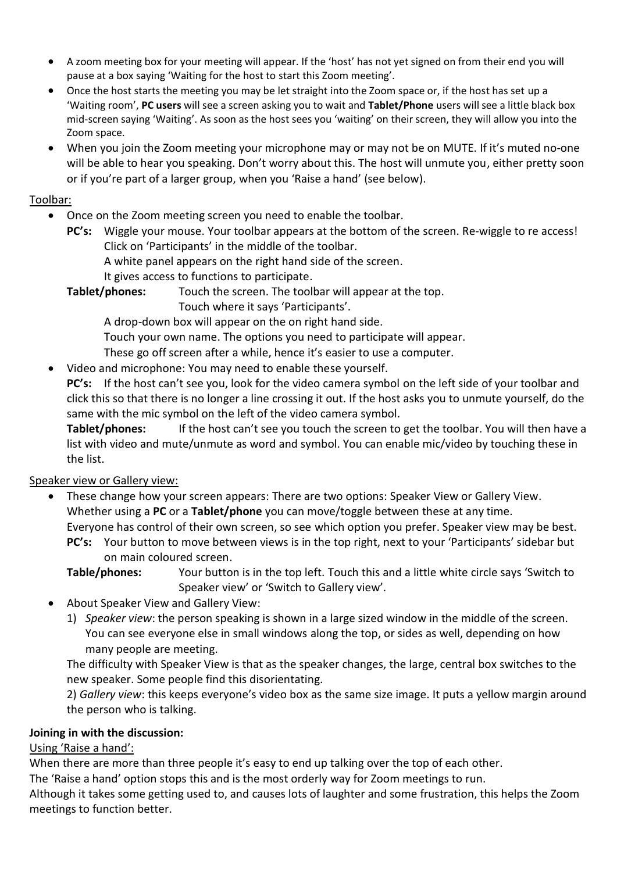- A zoom meeting box for your meeting will appear. If the 'host' has not yet signed on from their end you will pause at a box saying 'Waiting for the host to start this Zoom meeting'.
- Once the host starts the meeting you may be let straight into the Zoom space or, if the host has set up a 'Waiting room', **PC users** will see a screen asking you to wait and **Tablet/Phone** users will see a little black box mid-screen saying 'Waiting'. As soon as the host sees you 'waiting' on their screen, they will allow you into the Zoom space.
- When you join the Zoom meeting your microphone may or may not be on MUTE. If it's muted no-one will be able to hear you speaking. Don't worry about this. The host will unmute you, either pretty soon or if you're part of a larger group, when you 'Raise a hand' (see below).

### Toolbar:

- Once on the Zoom meeting screen you need to enable the toolbar.
	- **PC's:** Wiggle your mouse. Your toolbar appears at the bottom of the screen. Re-wiggle to re access! Click on 'Participants' in the middle of the toolbar.
		- A white panel appears on the right hand side of the screen.
		- It gives access to functions to participate.

**Tablet/phones:** Touch the screen. The toolbar will appear at the top.

Touch where it says 'Participants'.

A drop-down box will appear on the on right hand side.

Touch your own name. The options you need to participate will appear.

These go off screen after a while, hence it's easier to use a computer.

• Video and microphone: You may need to enable these yourself.

**PC's:** If the host can't see you, look for the video camera symbol on the left side of your toolbar and click this so that there is no longer a line crossing it out. If the host asks you to unmute yourself, do the same with the mic symbol on the left of the video camera symbol.

**Tablet/phones:** If the host can't see you touch the screen to get the toolbar. You will then have a list with video and mute/unmute as word and symbol. You can enable mic/video by touching these in the list.

# Speaker view or Gallery view:

- These change how your screen appears: There are two options: Speaker View or Gallery View. Whether using a **PC** or a **Tablet/phone** you can move/toggle between these at any time. Everyone has control of their own screen, so see which option you prefer. Speaker view may be best.
	- **PC's:** Your button to move between views is in the top right, next to your 'Participants' sidebar but on main coloured screen.
	- **Table/phones:** Your button is in the top left. Touch this and a little white circle says 'Switch to Speaker view' or 'Switch to Gallery view'.
- About Speaker View and Gallery View:
	- 1) *Speaker view*: the person speaking is shown in a large sized window in the middle of the screen. You can see everyone else in small windows along the top, or sides as well, depending on how many people are meeting.

The difficulty with Speaker View is that as the speaker changes, the large, central box switches to the new speaker. Some people find this disorientating.

2) *Gallery view*: this keeps everyone's video box as the same size image. It puts a yellow margin around the person who is talking.

### **Joining in with the discussion:**

# Using 'Raise a hand':

When there are more than three people it's easy to end up talking over the top of each other.

The 'Raise a hand' option stops this and is the most orderly way for Zoom meetings to run.

Although it takes some getting used to, and causes lots of laughter and some frustration, this helps the Zoom meetings to function better.